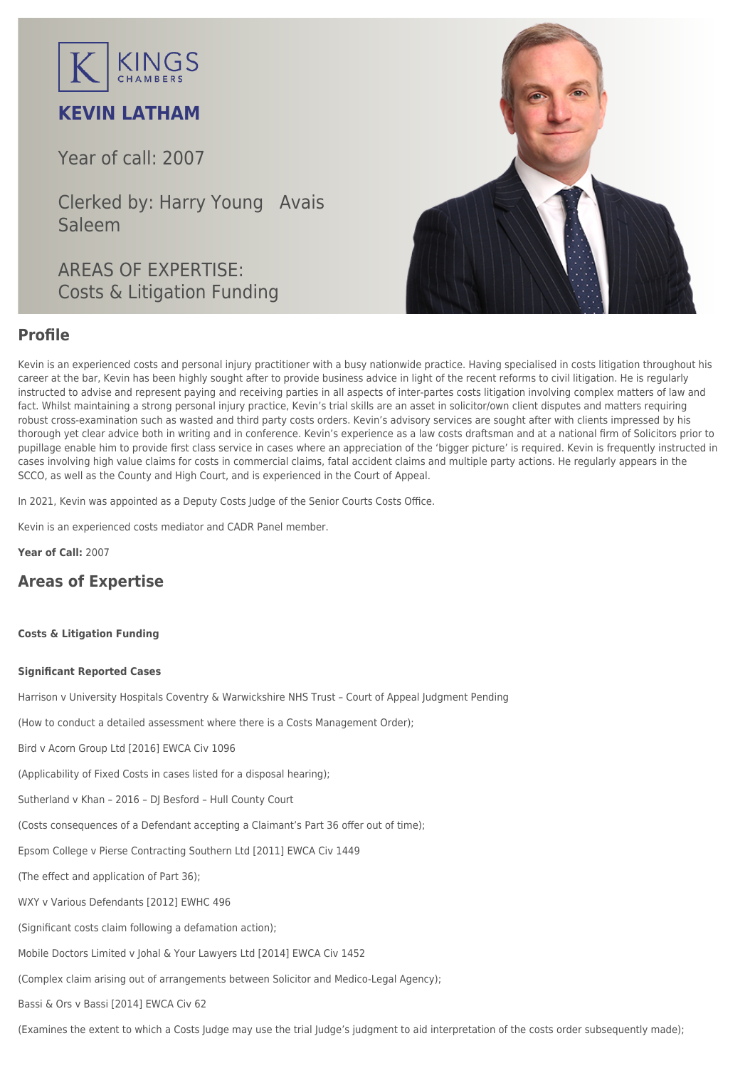

# **KEVIN LATHAM**

Year of call: 2007

Clerked by: [Harry Young](mailto:hyoung@kingschambers.com) [Avais](mailto:asaleem@kingschambers.com) [Saleem](mailto:asaleem@kingschambers.com)

AREAS OF EXPERTISE: Costs & Litigation Funding



## **Profile**

Kevin is an experienced costs and personal injury practitioner with a busy nationwide practice. Having specialised in [costs litigation](https://www.kingschambers.com/connectors/areas-of-expertise/personal-injury-and-clinical-negligence-team/costs-and-litigation-funding/) throughout his career at the bar, Kevin has been highly sought after to provide business advice in light of the recent reforms to civil litigation. He is regularly instructed to advise and represent paying and receiving parties in all aspects of inter-partes costs litigation involving complex matters of law and fact. Whilst maintaining a strong personal injury practice, Kevin's trial skills are an asset in solicitor/own client disputes and matters requiring robust cross-examination such as wasted and third party costs orders. Kevin's advisory services are sought after with clients impressed by his thorough yet clear advice both in writing and in conference. Kevin's experience as a law costs draftsman and at a national firm of Solicitors prior to pupillage enable him to provide first class service in cases where an appreciation of the 'bigger picture' is required. Kevin is frequently instructed in cases involving high value claims for costs in commercial claims, fatal accident claims and multiple party actions. He regularly appears in the SCCO, as well as the County and High Court, and is experienced in the Court of Appeal.

In 2021, Kevin was appointed as a Deputy Costs Judge of the Senior Courts Costs Office.

Kevin is an experienced costs mediator and CADR Panel member.

**Year of Call:** 2007

## **Areas of Expertise**

## **[Costs & Litigation Funding](#page--1-0)**

### **Significant Reported Cases**

Harrison v University Hospitals Coventry & Warwickshire NHS Trust – Court of Appeal Judgment Pending

(How to conduct a detailed assessment where there is a Costs Management Order);

Bird v Acorn Group Ltd [2016] EWCA Civ 1096

(Applicability of Fixed Costs in cases listed for a disposal hearing);

Sutherland v Khan – 2016 – DJ Besford – Hull County Court

(Costs consequences of a Defendant accepting a Claimant's Part 36 offer out of time);

Epsom College v Pierse Contracting Southern Ltd [2011] EWCA Civ 1449

(The effect and application of Part 36);

WXY v Various Defendants [2012] EWHC 496

(Significant costs claim following a defamation action);

Mobile Doctors Limited v Johal & Your Lawyers Ltd [2014] EWCA Civ 1452

(Complex claim arising out of arrangements between Solicitor and Medico-Legal Agency);

Bassi & Ors v Bassi [2014] EWCA Civ 62

(Examines the extent to which a Costs Judge may use the trial Judge's judgment to aid interpretation of the costs order subsequently made);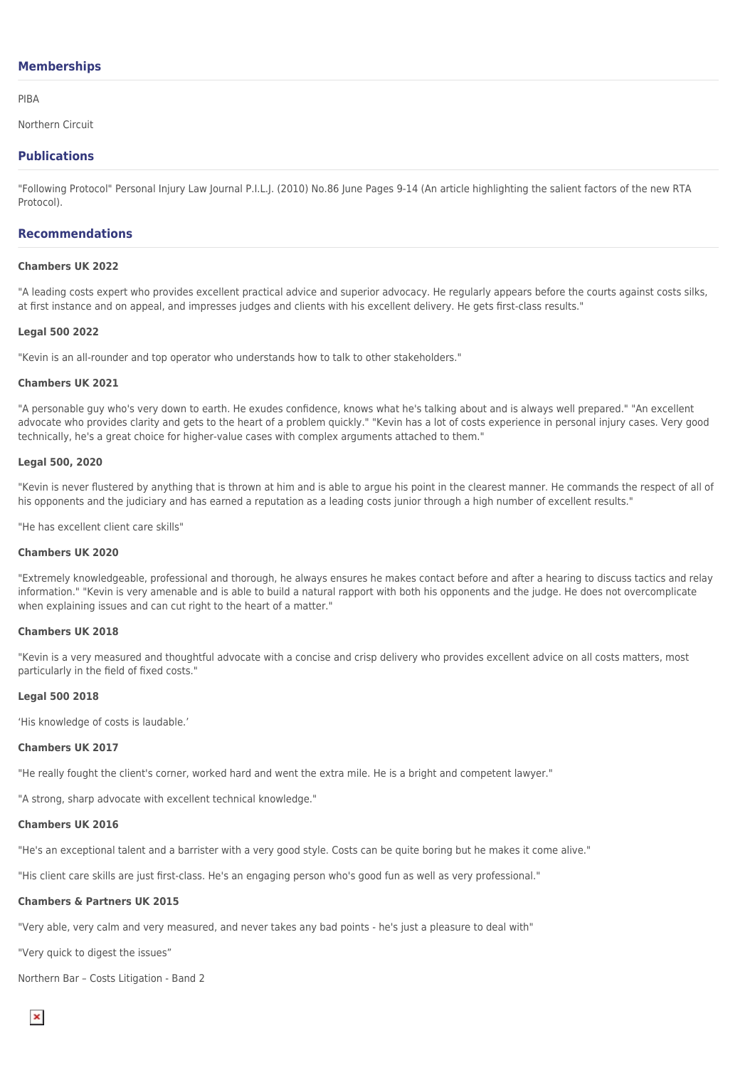## **Memberships**

#### PIBA

Northern Circuit

## **Publications**

"Following Protocol" Personal Injury Law Journal P.I.L.J. (2010) No.86 June Pages 9-14 (An article highlighting the salient factors of the new RTA Protocol).

## **Recommendations**

#### **Chambers UK 2022**

"A leading costs expert who provides excellent practical advice and superior advocacy. He regularly appears before the courts against costs silks, at first instance and on appeal, and impresses judges and clients with his excellent delivery. He gets first-class results."

#### **Legal 500 2022**

"Kevin is an all-rounder and top operator who understands how to talk to other stakeholders."

#### **Chambers UK 2021**

"A personable guy who's very down to earth. He exudes confidence, knows what he's talking about and is always well prepared." "An excellent advocate who provides clarity and gets to the heart of a problem quickly." "Kevin has a lot of costs experience in personal injury cases. Very good technically, he's a great choice for higher-value cases with complex arguments attached to them."

#### **Legal 500, 2020**

"Kevin is never flustered by anything that is thrown at him and is able to argue his point in the clearest manner. He commands the respect of all of his opponents and the judiciary and has earned a reputation as a leading costs junior through a high number of excellent results."

"He has excellent client care skills"

## **Chambers UK 2020**

"Extremely knowledgeable, professional and thorough, he always ensures he makes contact before and after a hearing to discuss tactics and relay information." "Kevin is very amenable and is able to build a natural rapport with both his opponents and the judge. He does not overcomplicate when explaining issues and can cut right to the heart of a matter."

## **Chambers UK 2018**

"Kevin is a very measured and thoughtful advocate with a concise and crisp delivery who provides excellent advice on all costs matters, most particularly in the field of fixed costs."

#### **Legal 500 2018**

'His knowledge of costs is laudable.'

#### **Chambers UK 2017**

"He really fought the client's corner, worked hard and went the extra mile. He is a bright and competent lawyer."

"A strong, sharp advocate with excellent technical knowledge."

## **Chambers UK 2016**

"He's an exceptional talent and a barrister with a very good style. Costs can be quite boring but he makes it come alive."

"His client care skills are just first-class. He's an engaging person who's good fun as well as very professional."

### **Chambers & Partners UK 2015**

"Very able, very calm and very measured, and never takes any bad points - he's just a pleasure to deal with"

"Very quick to digest the issues"

Northern Bar – Costs Litigation - Band 2